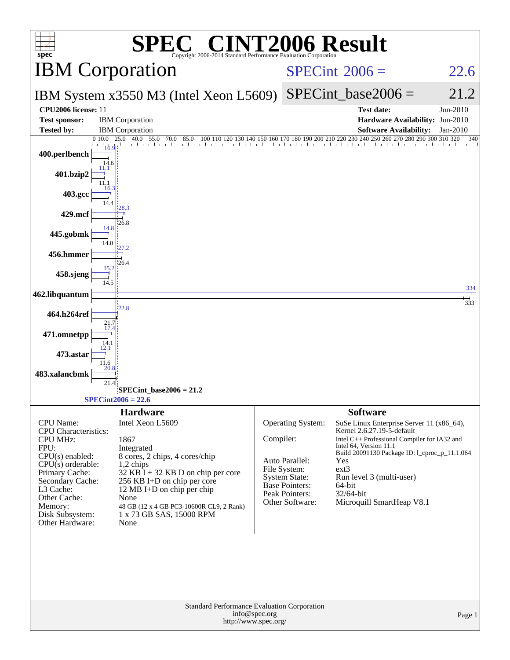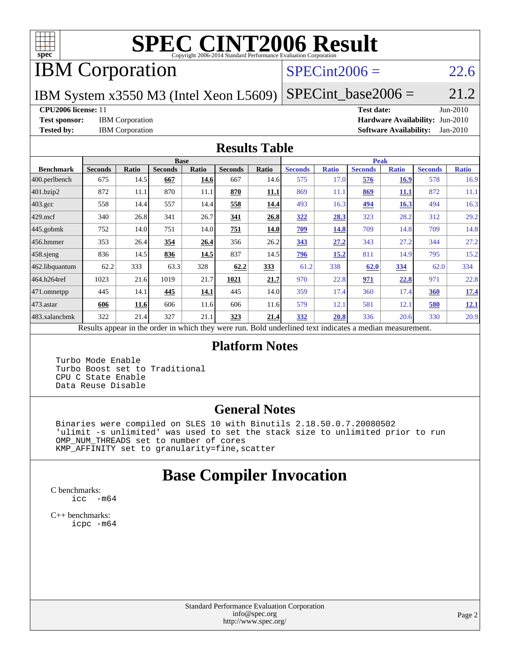

# **[SPEC CINT2006 Result](http://www.spec.org/auto/cpu2006/Docs/result-fields.html#SPECCINT2006Result)**

# IBM Corporation

### $SPECint2006 = 22.6$  $SPECint2006 = 22.6$

IBM System x3550 M3 (Intel Xeon L5609)

 $SPECTnt\_base2006 = 21.2$ 

#### **[CPU2006 license:](http://www.spec.org/auto/cpu2006/Docs/result-fields.html#CPU2006license)** 11 **[Test date:](http://www.spec.org/auto/cpu2006/Docs/result-fields.html#Testdate)** Jun-2010

**[Test sponsor:](http://www.spec.org/auto/cpu2006/Docs/result-fields.html#Testsponsor)** IBM Corporation **[Hardware Availability:](http://www.spec.org/auto/cpu2006/Docs/result-fields.html#HardwareAvailability)** Jun-2010 **[Tested by:](http://www.spec.org/auto/cpu2006/Docs/result-fields.html#Testedby)** IBM Corporation **[Software Availability:](http://www.spec.org/auto/cpu2006/Docs/result-fields.html#SoftwareAvailability)** Jan-2010

#### **[Results Table](http://www.spec.org/auto/cpu2006/Docs/result-fields.html#ResultsTable)**

|                   |                                                              |       | <b>Base</b>    |              |                |              |                                            |              | <b>Peak</b>    |              |                |              |
|-------------------|--------------------------------------------------------------|-------|----------------|--------------|----------------|--------------|--------------------------------------------|--------------|----------------|--------------|----------------|--------------|
| <b>Benchmark</b>  | <b>Seconds</b>                                               | Ratio | <b>Seconds</b> | <b>Ratio</b> | <b>Seconds</b> | <b>Ratio</b> | <b>Seconds</b>                             | <b>Ratio</b> | <b>Seconds</b> | <b>Ratio</b> | <b>Seconds</b> | <b>Ratio</b> |
| $ 400$ .perlbench | 675                                                          | 14.5  | 667            | 14.6         | 667            | 14.6         | 575                                        | 17.0         | 576            | 16.9         | 578            | 16.9         |
| 401.bzip2         | 872                                                          | 11.1  | 870            | 11.1         | 870            | 11.1         | 869                                        | 11.1         | 869            | 11.1         | 872            | 11.1         |
| $403.\text{gcc}$  | 558                                                          | 14.4  | 557            | 14.4         | 558            | 14.4         | 493                                        | 16.3         | <u>494</u>     | 16.3         | 494            | 16.3         |
| $429$ .mcf        | 340                                                          | 26.8  | 341            | 26.7         | 341            | 26.8         | 322                                        | 28.3         | 323            | 28.2         | 312            | 29.2         |
| $445$ .gobmk      | 752                                                          | 14.0  | 751            | 14.0         | 751            | 14.0         | 709                                        | 14.8         | 709            | 14.8         | 709            | 14.8         |
| $456.$ hmmer      | 353                                                          | 26.4  | 354            | 26.4         | 356            | 26.2         | 343                                        | 27.2         | 343            | 27.2         | 344            | 27.2         |
| $458$ .sjeng      | 836                                                          | 14.5  | 836            | 14.5         | 837            | 14.5         | <u>796</u>                                 | 15.2         | 811            | 14.9         | 795            | 15.2         |
| 462.libquantum    | 62.2                                                         | 333   | 63.3           | 328          | 62.2           | 333          | 61.2                                       | 338          | 62.0           | 334          | 62.0           | 334          |
| 464.h264ref       | 1023                                                         | 21.6  | 1019           | 21.7         | 1021           | 21.7         | 970                                        | 22.8         | 971            | 22.8         | 971            | 22.8         |
| 471.omnetpp       | 445                                                          | 14.1  | 445            | 14.1         | 445            | 14.0         | 359                                        | 17.4         | 360            | 17.4         | <b>360</b>     | <u>17.4</u>  |
| $473$ . astar     | 606                                                          | 11.6  | 606            | 11.6         | 606            | 11.6         | 579                                        | 12.1         | 581            | 12.1         | 580            | <u>12.1</u>  |
| 483.xalancbmk     | 322                                                          | 21.4  | 327            | 21.1         | 323            | 21.4         | 332                                        | 20.8         | 336            | 20.6         | 330            | 20.9         |
|                   | Describe announced in the conduction with the those weakened |       |                |              |                |              | Deld and called to an indicate on a madian |              |                |              |                |              |

Results appear in the [order in which they were run.](http://www.spec.org/auto/cpu2006/Docs/result-fields.html#RunOrder) Bold underlined text [indicates a median measurement.](http://www.spec.org/auto/cpu2006/Docs/result-fields.html#Median)

### **[Platform Notes](http://www.spec.org/auto/cpu2006/Docs/result-fields.html#PlatformNotes)**

 Turbo Mode Enable Turbo Boost set to Traditional CPU C State Enable Data Reuse Disable

### **[General Notes](http://www.spec.org/auto/cpu2006/Docs/result-fields.html#GeneralNotes)**

 Binaries were compiled on SLES 10 with Binutils 2.18.50.0.7.20080502 'ulimit -s unlimited' was used to set the stack size to unlimited prior to run OMP\_NUM\_THREADS set to number of cores KMP\_AFFINITY set to granularity=fine,scatter

# **[Base Compiler Invocation](http://www.spec.org/auto/cpu2006/Docs/result-fields.html#BaseCompilerInvocation)**

[C benchmarks](http://www.spec.org/auto/cpu2006/Docs/result-fields.html#Cbenchmarks): [icc -m64](http://www.spec.org/cpu2006/results/res2010q3/cpu2006-20100621-11841.flags.html#user_CCbase_intel_icc_64bit_f346026e86af2a669e726fe758c88044)

[C++ benchmarks:](http://www.spec.org/auto/cpu2006/Docs/result-fields.html#CXXbenchmarks) [icpc -m64](http://www.spec.org/cpu2006/results/res2010q3/cpu2006-20100621-11841.flags.html#user_CXXbase_intel_icpc_64bit_fc66a5337ce925472a5c54ad6a0de310)

> Standard Performance Evaluation Corporation [info@spec.org](mailto:info@spec.org) <http://www.spec.org/>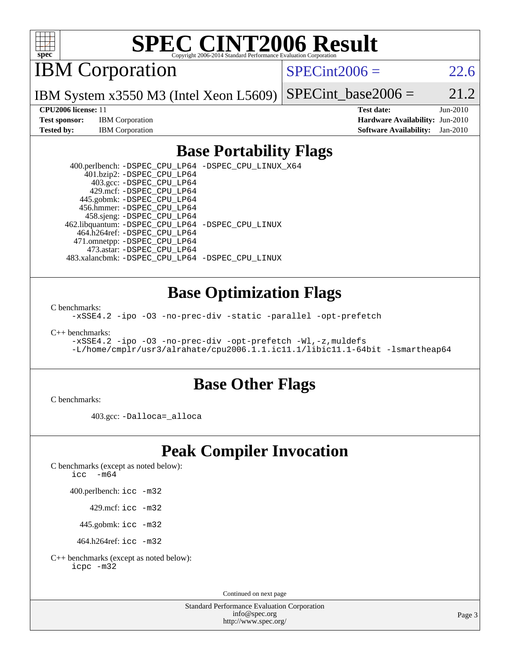

# **[SPEC CINT2006 Result](http://www.spec.org/auto/cpu2006/Docs/result-fields.html#SPECCINT2006Result)**

IBM Corporation

 $SPECint2006 = 22.6$  $SPECint2006 = 22.6$ 

IBM System x3550 M3 (Intel Xeon L5609) SPECint base2006 =  $21.2$ 

**[Test sponsor:](http://www.spec.org/auto/cpu2006/Docs/result-fields.html#Testsponsor)** IBM Corporation **[Hardware Availability:](http://www.spec.org/auto/cpu2006/Docs/result-fields.html#HardwareAvailability)** Jun-2010

**[CPU2006 license:](http://www.spec.org/auto/cpu2006/Docs/result-fields.html#CPU2006license)** 11 **[Test date:](http://www.spec.org/auto/cpu2006/Docs/result-fields.html#Testdate)** Jun-2010 **[Tested by:](http://www.spec.org/auto/cpu2006/Docs/result-fields.html#Testedby)** IBM Corporation **[Software Availability:](http://www.spec.org/auto/cpu2006/Docs/result-fields.html#SoftwareAvailability)** Jan-2010

## **[Base Portability Flags](http://www.spec.org/auto/cpu2006/Docs/result-fields.html#BasePortabilityFlags)**

 400.perlbench: [-DSPEC\\_CPU\\_LP64](http://www.spec.org/cpu2006/results/res2010q3/cpu2006-20100621-11841.flags.html#b400.perlbench_basePORTABILITY_DSPEC_CPU_LP64) [-DSPEC\\_CPU\\_LINUX\\_X64](http://www.spec.org/cpu2006/results/res2010q3/cpu2006-20100621-11841.flags.html#b400.perlbench_baseCPORTABILITY_DSPEC_CPU_LINUX_X64) 401.bzip2: [-DSPEC\\_CPU\\_LP64](http://www.spec.org/cpu2006/results/res2010q3/cpu2006-20100621-11841.flags.html#suite_basePORTABILITY401_bzip2_DSPEC_CPU_LP64) 403.gcc: [-DSPEC\\_CPU\\_LP64](http://www.spec.org/cpu2006/results/res2010q3/cpu2006-20100621-11841.flags.html#suite_basePORTABILITY403_gcc_DSPEC_CPU_LP64) 429.mcf: [-DSPEC\\_CPU\\_LP64](http://www.spec.org/cpu2006/results/res2010q3/cpu2006-20100621-11841.flags.html#suite_basePORTABILITY429_mcf_DSPEC_CPU_LP64) 445.gobmk: [-DSPEC\\_CPU\\_LP64](http://www.spec.org/cpu2006/results/res2010q3/cpu2006-20100621-11841.flags.html#suite_basePORTABILITY445_gobmk_DSPEC_CPU_LP64) 456.hmmer: [-DSPEC\\_CPU\\_LP64](http://www.spec.org/cpu2006/results/res2010q3/cpu2006-20100621-11841.flags.html#suite_basePORTABILITY456_hmmer_DSPEC_CPU_LP64) 458.sjeng: [-DSPEC\\_CPU\\_LP64](http://www.spec.org/cpu2006/results/res2010q3/cpu2006-20100621-11841.flags.html#suite_basePORTABILITY458_sjeng_DSPEC_CPU_LP64) 462.libquantum: [-DSPEC\\_CPU\\_LP64](http://www.spec.org/cpu2006/results/res2010q3/cpu2006-20100621-11841.flags.html#suite_basePORTABILITY462_libquantum_DSPEC_CPU_LP64) [-DSPEC\\_CPU\\_LINUX](http://www.spec.org/cpu2006/results/res2010q3/cpu2006-20100621-11841.flags.html#b462.libquantum_baseCPORTABILITY_DSPEC_CPU_LINUX) 464.h264ref: [-DSPEC\\_CPU\\_LP64](http://www.spec.org/cpu2006/results/res2010q3/cpu2006-20100621-11841.flags.html#suite_basePORTABILITY464_h264ref_DSPEC_CPU_LP64) 471.omnetpp: [-DSPEC\\_CPU\\_LP64](http://www.spec.org/cpu2006/results/res2010q3/cpu2006-20100621-11841.flags.html#suite_basePORTABILITY471_omnetpp_DSPEC_CPU_LP64) 473.astar: [-DSPEC\\_CPU\\_LP64](http://www.spec.org/cpu2006/results/res2010q3/cpu2006-20100621-11841.flags.html#suite_basePORTABILITY473_astar_DSPEC_CPU_LP64) 483.xalancbmk: [-DSPEC\\_CPU\\_LP64](http://www.spec.org/cpu2006/results/res2010q3/cpu2006-20100621-11841.flags.html#suite_basePORTABILITY483_xalancbmk_DSPEC_CPU_LP64) [-DSPEC\\_CPU\\_LINUX](http://www.spec.org/cpu2006/results/res2010q3/cpu2006-20100621-11841.flags.html#b483.xalancbmk_baseCXXPORTABILITY_DSPEC_CPU_LINUX)

### **[Base Optimization Flags](http://www.spec.org/auto/cpu2006/Docs/result-fields.html#BaseOptimizationFlags)**

[C benchmarks](http://www.spec.org/auto/cpu2006/Docs/result-fields.html#Cbenchmarks):

[-xSSE4.2](http://www.spec.org/cpu2006/results/res2010q3/cpu2006-20100621-11841.flags.html#user_CCbase_f-xSSE42_f91528193cf0b216347adb8b939d4107) [-ipo](http://www.spec.org/cpu2006/results/res2010q3/cpu2006-20100621-11841.flags.html#user_CCbase_f-ipo) [-O3](http://www.spec.org/cpu2006/results/res2010q3/cpu2006-20100621-11841.flags.html#user_CCbase_f-O3) [-no-prec-div](http://www.spec.org/cpu2006/results/res2010q3/cpu2006-20100621-11841.flags.html#user_CCbase_f-no-prec-div) [-static](http://www.spec.org/cpu2006/results/res2010q3/cpu2006-20100621-11841.flags.html#user_CCbase_f-static) [-parallel](http://www.spec.org/cpu2006/results/res2010q3/cpu2006-20100621-11841.flags.html#user_CCbase_f-parallel) [-opt-prefetch](http://www.spec.org/cpu2006/results/res2010q3/cpu2006-20100621-11841.flags.html#user_CCbase_f-opt-prefetch)

[C++ benchmarks:](http://www.spec.org/auto/cpu2006/Docs/result-fields.html#CXXbenchmarks)

[-xSSE4.2](http://www.spec.org/cpu2006/results/res2010q3/cpu2006-20100621-11841.flags.html#user_CXXbase_f-xSSE42_f91528193cf0b216347adb8b939d4107) [-ipo](http://www.spec.org/cpu2006/results/res2010q3/cpu2006-20100621-11841.flags.html#user_CXXbase_f-ipo) [-O3](http://www.spec.org/cpu2006/results/res2010q3/cpu2006-20100621-11841.flags.html#user_CXXbase_f-O3) [-no-prec-div](http://www.spec.org/cpu2006/results/res2010q3/cpu2006-20100621-11841.flags.html#user_CXXbase_f-no-prec-div) [-opt-prefetch](http://www.spec.org/cpu2006/results/res2010q3/cpu2006-20100621-11841.flags.html#user_CXXbase_f-opt-prefetch) [-Wl,-z,muldefs](http://www.spec.org/cpu2006/results/res2010q3/cpu2006-20100621-11841.flags.html#user_CXXbase_link_force_multiple1_74079c344b956b9658436fd1b6dd3a8a) [-L/home/cmplr/usr3/alrahate/cpu2006.1.1.ic11.1/libic11.1-64bit -lsmartheap64](http://www.spec.org/cpu2006/results/res2010q3/cpu2006-20100621-11841.flags.html#user_CXXbase_SmartHeap64_e2306cda84805d1ab360117a79ff779c)

### **[Base Other Flags](http://www.spec.org/auto/cpu2006/Docs/result-fields.html#BaseOtherFlags)**

[C benchmarks](http://www.spec.org/auto/cpu2006/Docs/result-fields.html#Cbenchmarks):

403.gcc: [-Dalloca=\\_alloca](http://www.spec.org/cpu2006/results/res2010q3/cpu2006-20100621-11841.flags.html#b403.gcc_baseEXTRA_CFLAGS_Dalloca_be3056838c12de2578596ca5467af7f3)

# **[Peak Compiler Invocation](http://www.spec.org/auto/cpu2006/Docs/result-fields.html#PeakCompilerInvocation)**

[C benchmarks \(except as noted below\)](http://www.spec.org/auto/cpu2006/Docs/result-fields.html#Cbenchmarksexceptasnotedbelow):

icc  $-m64$ 

400.perlbench: [icc -m32](http://www.spec.org/cpu2006/results/res2010q3/cpu2006-20100621-11841.flags.html#user_peakCCLD400_perlbench_intel_icc_32bit_a6a621f8d50482236b970c6ac5f55f93)

429.mcf: [icc -m32](http://www.spec.org/cpu2006/results/res2010q3/cpu2006-20100621-11841.flags.html#user_peakCCLD429_mcf_intel_icc_32bit_a6a621f8d50482236b970c6ac5f55f93)

445.gobmk: [icc -m32](http://www.spec.org/cpu2006/results/res2010q3/cpu2006-20100621-11841.flags.html#user_peakCCLD445_gobmk_intel_icc_32bit_a6a621f8d50482236b970c6ac5f55f93)

464.h264ref: [icc -m32](http://www.spec.org/cpu2006/results/res2010q3/cpu2006-20100621-11841.flags.html#user_peakCCLD464_h264ref_intel_icc_32bit_a6a621f8d50482236b970c6ac5f55f93)

[C++ benchmarks \(except as noted below\):](http://www.spec.org/auto/cpu2006/Docs/result-fields.html#CXXbenchmarksexceptasnotedbelow) [icpc -m32](http://www.spec.org/cpu2006/results/res2010q3/cpu2006-20100621-11841.flags.html#user_CXXpeak_intel_icpc_32bit_4e5a5ef1a53fd332b3c49e69c3330699)

Continued on next page

Standard Performance Evaluation Corporation [info@spec.org](mailto:info@spec.org) <http://www.spec.org/>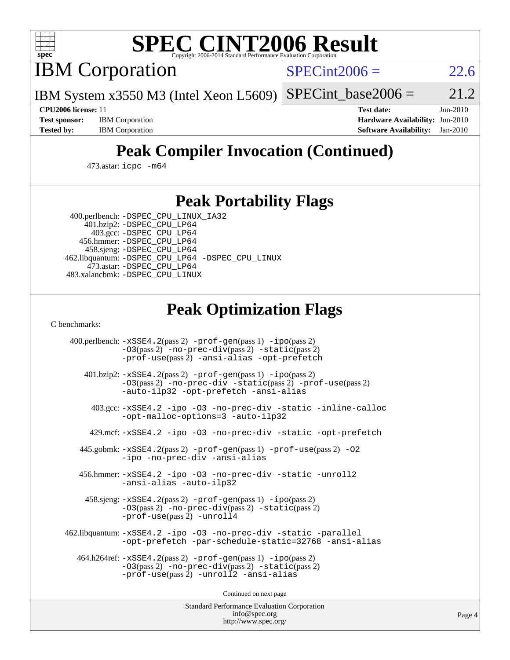

# **[SPEC CINT2006 Result](http://www.spec.org/auto/cpu2006/Docs/result-fields.html#SPECCINT2006Result)**

IBM Corporation

 $SPECint2006 = 22.6$  $SPECint2006 = 22.6$ 

IBM System x3550 M3 (Intel Xeon L5609)  $SPECTnt_base2006 = 21.2$ 

**[CPU2006 license:](http://www.spec.org/auto/cpu2006/Docs/result-fields.html#CPU2006license)** 11 **[Test date:](http://www.spec.org/auto/cpu2006/Docs/result-fields.html#Testdate)** Jun-2010 **[Test sponsor:](http://www.spec.org/auto/cpu2006/Docs/result-fields.html#Testsponsor)** IBM Corporation **[Hardware Availability:](http://www.spec.org/auto/cpu2006/Docs/result-fields.html#HardwareAvailability)** Jun-2010 **[Tested by:](http://www.spec.org/auto/cpu2006/Docs/result-fields.html#Testedby)** IBM Corporation **[Software Availability:](http://www.spec.org/auto/cpu2006/Docs/result-fields.html#SoftwareAvailability)** Jan-2010

# **[Peak Compiler Invocation \(Continued\)](http://www.spec.org/auto/cpu2006/Docs/result-fields.html#PeakCompilerInvocation)**

473.astar: [icpc -m64](http://www.spec.org/cpu2006/results/res2010q3/cpu2006-20100621-11841.flags.html#user_peakCXXLD473_astar_intel_icpc_64bit_fc66a5337ce925472a5c54ad6a0de310)

# **[Peak Portability Flags](http://www.spec.org/auto/cpu2006/Docs/result-fields.html#PeakPortabilityFlags)**

 400.perlbench: [-DSPEC\\_CPU\\_LINUX\\_IA32](http://www.spec.org/cpu2006/results/res2010q3/cpu2006-20100621-11841.flags.html#b400.perlbench_peakCPORTABILITY_DSPEC_CPU_LINUX_IA32) 401.bzip2: [-DSPEC\\_CPU\\_LP64](http://www.spec.org/cpu2006/results/res2010q3/cpu2006-20100621-11841.flags.html#suite_peakPORTABILITY401_bzip2_DSPEC_CPU_LP64)

 403.gcc: [-DSPEC\\_CPU\\_LP64](http://www.spec.org/cpu2006/results/res2010q3/cpu2006-20100621-11841.flags.html#suite_peakPORTABILITY403_gcc_DSPEC_CPU_LP64) 456.hmmer: [-DSPEC\\_CPU\\_LP64](http://www.spec.org/cpu2006/results/res2010q3/cpu2006-20100621-11841.flags.html#suite_peakPORTABILITY456_hmmer_DSPEC_CPU_LP64) 458.sjeng: [-DSPEC\\_CPU\\_LP64](http://www.spec.org/cpu2006/results/res2010q3/cpu2006-20100621-11841.flags.html#suite_peakPORTABILITY458_sjeng_DSPEC_CPU_LP64) 462.libquantum: [-DSPEC\\_CPU\\_LP64](http://www.spec.org/cpu2006/results/res2010q3/cpu2006-20100621-11841.flags.html#suite_peakPORTABILITY462_libquantum_DSPEC_CPU_LP64) [-DSPEC\\_CPU\\_LINUX](http://www.spec.org/cpu2006/results/res2010q3/cpu2006-20100621-11841.flags.html#b462.libquantum_peakCPORTABILITY_DSPEC_CPU_LINUX) 473.astar: [-DSPEC\\_CPU\\_LP64](http://www.spec.org/cpu2006/results/res2010q3/cpu2006-20100621-11841.flags.html#suite_peakPORTABILITY473_astar_DSPEC_CPU_LP64) 483.xalancbmk: [-DSPEC\\_CPU\\_LINUX](http://www.spec.org/cpu2006/results/res2010q3/cpu2006-20100621-11841.flags.html#b483.xalancbmk_peakCXXPORTABILITY_DSPEC_CPU_LINUX)

# **[Peak Optimization Flags](http://www.spec.org/auto/cpu2006/Docs/result-fields.html#PeakOptimizationFlags)**

[C benchmarks](http://www.spec.org/auto/cpu2006/Docs/result-fields.html#Cbenchmarks):

 400.perlbench: [-xSSE4.2](http://www.spec.org/cpu2006/results/res2010q3/cpu2006-20100621-11841.flags.html#user_peakPASS2_CFLAGSPASS2_LDCFLAGS400_perlbench_f-xSSE42_f91528193cf0b216347adb8b939d4107)(pass 2) [-prof-gen](http://www.spec.org/cpu2006/results/res2010q3/cpu2006-20100621-11841.flags.html#user_peakPASS1_CFLAGSPASS1_LDCFLAGS400_perlbench_prof_gen_e43856698f6ca7b7e442dfd80e94a8fc)(pass 1) [-ipo](http://www.spec.org/cpu2006/results/res2010q3/cpu2006-20100621-11841.flags.html#user_peakPASS2_CFLAGSPASS2_LDCFLAGS400_perlbench_f-ipo)(pass 2) [-O3](http://www.spec.org/cpu2006/results/res2010q3/cpu2006-20100621-11841.flags.html#user_peakPASS2_CFLAGSPASS2_LDCFLAGS400_perlbench_f-O3)(pass 2) [-no-prec-div](http://www.spec.org/cpu2006/results/res2010q3/cpu2006-20100621-11841.flags.html#user_peakPASS2_CFLAGSPASS2_LDCFLAGS400_perlbench_f-no-prec-div)(pass 2) [-static](http://www.spec.org/cpu2006/results/res2010q3/cpu2006-20100621-11841.flags.html#user_peakPASS2_CFLAGSPASS2_LDCFLAGS400_perlbench_f-static)(pass 2) [-prof-use](http://www.spec.org/cpu2006/results/res2010q3/cpu2006-20100621-11841.flags.html#user_peakPASS2_CFLAGSPASS2_LDCFLAGS400_perlbench_prof_use_bccf7792157ff70d64e32fe3e1250b55)(pass 2) [-ansi-alias](http://www.spec.org/cpu2006/results/res2010q3/cpu2006-20100621-11841.flags.html#user_peakCOPTIMIZE400_perlbench_f-ansi-alias) [-opt-prefetch](http://www.spec.org/cpu2006/results/res2010q3/cpu2006-20100621-11841.flags.html#user_peakCOPTIMIZE400_perlbench_f-opt-prefetch) 401.bzip2: [-xSSE4.2](http://www.spec.org/cpu2006/results/res2010q3/cpu2006-20100621-11841.flags.html#user_peakPASS2_CFLAGSPASS2_LDCFLAGS401_bzip2_f-xSSE42_f91528193cf0b216347adb8b939d4107)(pass 2) [-prof-gen](http://www.spec.org/cpu2006/results/res2010q3/cpu2006-20100621-11841.flags.html#user_peakPASS1_CFLAGSPASS1_LDCFLAGS401_bzip2_prof_gen_e43856698f6ca7b7e442dfd80e94a8fc)(pass 1) [-ipo](http://www.spec.org/cpu2006/results/res2010q3/cpu2006-20100621-11841.flags.html#user_peakPASS2_CFLAGSPASS2_LDCFLAGS401_bzip2_f-ipo)(pass 2) [-O3](http://www.spec.org/cpu2006/results/res2010q3/cpu2006-20100621-11841.flags.html#user_peakPASS2_CFLAGSPASS2_LDCFLAGS401_bzip2_f-O3)(pass 2) [-no-prec-div](http://www.spec.org/cpu2006/results/res2010q3/cpu2006-20100621-11841.flags.html#user_peakCOPTIMIZEPASS2_CFLAGSPASS2_LDCFLAGS401_bzip2_f-no-prec-div) [-static](http://www.spec.org/cpu2006/results/res2010q3/cpu2006-20100621-11841.flags.html#user_peakPASS2_CFLAGSPASS2_LDCFLAGS401_bzip2_f-static)(pass 2) [-prof-use](http://www.spec.org/cpu2006/results/res2010q3/cpu2006-20100621-11841.flags.html#user_peakPASS2_CFLAGSPASS2_LDCFLAGS401_bzip2_prof_use_bccf7792157ff70d64e32fe3e1250b55)(pass 2) [-auto-ilp32](http://www.spec.org/cpu2006/results/res2010q3/cpu2006-20100621-11841.flags.html#user_peakCOPTIMIZE401_bzip2_f-auto-ilp32) [-opt-prefetch](http://www.spec.org/cpu2006/results/res2010q3/cpu2006-20100621-11841.flags.html#user_peakCOPTIMIZE401_bzip2_f-opt-prefetch) [-ansi-alias](http://www.spec.org/cpu2006/results/res2010q3/cpu2006-20100621-11841.flags.html#user_peakCOPTIMIZE401_bzip2_f-ansi-alias) 403.gcc: [-xSSE4.2](http://www.spec.org/cpu2006/results/res2010q3/cpu2006-20100621-11841.flags.html#user_peakCOPTIMIZE403_gcc_f-xSSE42_f91528193cf0b216347adb8b939d4107) [-ipo](http://www.spec.org/cpu2006/results/res2010q3/cpu2006-20100621-11841.flags.html#user_peakCOPTIMIZE403_gcc_f-ipo) [-O3](http://www.spec.org/cpu2006/results/res2010q3/cpu2006-20100621-11841.flags.html#user_peakCOPTIMIZE403_gcc_f-O3) [-no-prec-div](http://www.spec.org/cpu2006/results/res2010q3/cpu2006-20100621-11841.flags.html#user_peakCOPTIMIZE403_gcc_f-no-prec-div) [-static](http://www.spec.org/cpu2006/results/res2010q3/cpu2006-20100621-11841.flags.html#user_peakCOPTIMIZE403_gcc_f-static) [-inline-calloc](http://www.spec.org/cpu2006/results/res2010q3/cpu2006-20100621-11841.flags.html#user_peakCOPTIMIZE403_gcc_f-inline-calloc) [-opt-malloc-options=3](http://www.spec.org/cpu2006/results/res2010q3/cpu2006-20100621-11841.flags.html#user_peakCOPTIMIZE403_gcc_f-opt-malloc-options_13ab9b803cf986b4ee62f0a5998c2238) [-auto-ilp32](http://www.spec.org/cpu2006/results/res2010q3/cpu2006-20100621-11841.flags.html#user_peakCOPTIMIZE403_gcc_f-auto-ilp32) 429.mcf: [-xSSE4.2](http://www.spec.org/cpu2006/results/res2010q3/cpu2006-20100621-11841.flags.html#user_peakCOPTIMIZE429_mcf_f-xSSE42_f91528193cf0b216347adb8b939d4107) [-ipo](http://www.spec.org/cpu2006/results/res2010q3/cpu2006-20100621-11841.flags.html#user_peakCOPTIMIZE429_mcf_f-ipo) [-O3](http://www.spec.org/cpu2006/results/res2010q3/cpu2006-20100621-11841.flags.html#user_peakCOPTIMIZE429_mcf_f-O3) [-no-prec-div](http://www.spec.org/cpu2006/results/res2010q3/cpu2006-20100621-11841.flags.html#user_peakCOPTIMIZE429_mcf_f-no-prec-div) [-static](http://www.spec.org/cpu2006/results/res2010q3/cpu2006-20100621-11841.flags.html#user_peakCOPTIMIZE429_mcf_f-static) [-opt-prefetch](http://www.spec.org/cpu2006/results/res2010q3/cpu2006-20100621-11841.flags.html#user_peakCOPTIMIZE429_mcf_f-opt-prefetch) 445.gobmk: [-xSSE4.2](http://www.spec.org/cpu2006/results/res2010q3/cpu2006-20100621-11841.flags.html#user_peakPASS2_CFLAGSPASS2_LDCFLAGS445_gobmk_f-xSSE42_f91528193cf0b216347adb8b939d4107)(pass 2) [-prof-gen](http://www.spec.org/cpu2006/results/res2010q3/cpu2006-20100621-11841.flags.html#user_peakPASS1_CFLAGSPASS1_LDCFLAGS445_gobmk_prof_gen_e43856698f6ca7b7e442dfd80e94a8fc)(pass 1) [-prof-use](http://www.spec.org/cpu2006/results/res2010q3/cpu2006-20100621-11841.flags.html#user_peakPASS2_CFLAGSPASS2_LDCFLAGS445_gobmk_prof_use_bccf7792157ff70d64e32fe3e1250b55)(pass 2) [-O2](http://www.spec.org/cpu2006/results/res2010q3/cpu2006-20100621-11841.flags.html#user_peakCOPTIMIZE445_gobmk_f-O2) [-ipo](http://www.spec.org/cpu2006/results/res2010q3/cpu2006-20100621-11841.flags.html#user_peakCOPTIMIZE445_gobmk_f-ipo) [-no-prec-div](http://www.spec.org/cpu2006/results/res2010q3/cpu2006-20100621-11841.flags.html#user_peakCOPTIMIZE445_gobmk_f-no-prec-div) [-ansi-alias](http://www.spec.org/cpu2006/results/res2010q3/cpu2006-20100621-11841.flags.html#user_peakCOPTIMIZE445_gobmk_f-ansi-alias) 456.hmmer: [-xSSE4.2](http://www.spec.org/cpu2006/results/res2010q3/cpu2006-20100621-11841.flags.html#user_peakCOPTIMIZE456_hmmer_f-xSSE42_f91528193cf0b216347adb8b939d4107) [-ipo](http://www.spec.org/cpu2006/results/res2010q3/cpu2006-20100621-11841.flags.html#user_peakCOPTIMIZE456_hmmer_f-ipo) [-O3](http://www.spec.org/cpu2006/results/res2010q3/cpu2006-20100621-11841.flags.html#user_peakCOPTIMIZE456_hmmer_f-O3) [-no-prec-div](http://www.spec.org/cpu2006/results/res2010q3/cpu2006-20100621-11841.flags.html#user_peakCOPTIMIZE456_hmmer_f-no-prec-div) [-static](http://www.spec.org/cpu2006/results/res2010q3/cpu2006-20100621-11841.flags.html#user_peakCOPTIMIZE456_hmmer_f-static) [-unroll2](http://www.spec.org/cpu2006/results/res2010q3/cpu2006-20100621-11841.flags.html#user_peakCOPTIMIZE456_hmmer_f-unroll_784dae83bebfb236979b41d2422d7ec2) [-ansi-alias](http://www.spec.org/cpu2006/results/res2010q3/cpu2006-20100621-11841.flags.html#user_peakCOPTIMIZE456_hmmer_f-ansi-alias) [-auto-ilp32](http://www.spec.org/cpu2006/results/res2010q3/cpu2006-20100621-11841.flags.html#user_peakCOPTIMIZE456_hmmer_f-auto-ilp32) 458.sjeng: [-xSSE4.2](http://www.spec.org/cpu2006/results/res2010q3/cpu2006-20100621-11841.flags.html#user_peakPASS2_CFLAGSPASS2_LDCFLAGS458_sjeng_f-xSSE42_f91528193cf0b216347adb8b939d4107)(pass 2) [-prof-gen](http://www.spec.org/cpu2006/results/res2010q3/cpu2006-20100621-11841.flags.html#user_peakPASS1_CFLAGSPASS1_LDCFLAGS458_sjeng_prof_gen_e43856698f6ca7b7e442dfd80e94a8fc)(pass 1) [-ipo](http://www.spec.org/cpu2006/results/res2010q3/cpu2006-20100621-11841.flags.html#user_peakPASS2_CFLAGSPASS2_LDCFLAGS458_sjeng_f-ipo)(pass 2) [-O3](http://www.spec.org/cpu2006/results/res2010q3/cpu2006-20100621-11841.flags.html#user_peakPASS2_CFLAGSPASS2_LDCFLAGS458_sjeng_f-O3)(pass 2) [-no-prec-div](http://www.spec.org/cpu2006/results/res2010q3/cpu2006-20100621-11841.flags.html#user_peakPASS2_CFLAGSPASS2_LDCFLAGS458_sjeng_f-no-prec-div)(pass 2) [-static](http://www.spec.org/cpu2006/results/res2010q3/cpu2006-20100621-11841.flags.html#user_peakPASS2_CFLAGSPASS2_LDCFLAGS458_sjeng_f-static)(pass 2) [-prof-use](http://www.spec.org/cpu2006/results/res2010q3/cpu2006-20100621-11841.flags.html#user_peakPASS2_CFLAGSPASS2_LDCFLAGS458_sjeng_prof_use_bccf7792157ff70d64e32fe3e1250b55)(pass 2) [-unroll4](http://www.spec.org/cpu2006/results/res2010q3/cpu2006-20100621-11841.flags.html#user_peakCOPTIMIZE458_sjeng_f-unroll_4e5e4ed65b7fd20bdcd365bec371b81f) 462.libquantum: [-xSSE4.2](http://www.spec.org/cpu2006/results/res2010q3/cpu2006-20100621-11841.flags.html#user_peakCOPTIMIZE462_libquantum_f-xSSE42_f91528193cf0b216347adb8b939d4107) [-ipo](http://www.spec.org/cpu2006/results/res2010q3/cpu2006-20100621-11841.flags.html#user_peakCOPTIMIZE462_libquantum_f-ipo) [-O3](http://www.spec.org/cpu2006/results/res2010q3/cpu2006-20100621-11841.flags.html#user_peakCOPTIMIZE462_libquantum_f-O3) [-no-prec-div](http://www.spec.org/cpu2006/results/res2010q3/cpu2006-20100621-11841.flags.html#user_peakCOPTIMIZE462_libquantum_f-no-prec-div) [-static](http://www.spec.org/cpu2006/results/res2010q3/cpu2006-20100621-11841.flags.html#user_peakCOPTIMIZE462_libquantum_f-static) [-parallel](http://www.spec.org/cpu2006/results/res2010q3/cpu2006-20100621-11841.flags.html#user_peakCOPTIMIZE462_libquantum_f-parallel) [-opt-prefetch](http://www.spec.org/cpu2006/results/res2010q3/cpu2006-20100621-11841.flags.html#user_peakCOPTIMIZE462_libquantum_f-opt-prefetch) [-par-schedule-static=32768](http://www.spec.org/cpu2006/results/res2010q3/cpu2006-20100621-11841.flags.html#user_peakCOPTIMIZE462_libquantum_f-par-schedule_9386bcd99ba64e99ee01d1aafefddd14) [-ansi-alias](http://www.spec.org/cpu2006/results/res2010q3/cpu2006-20100621-11841.flags.html#user_peakCOPTIMIZE462_libquantum_f-ansi-alias) 464.h264ref: [-xSSE4.2](http://www.spec.org/cpu2006/results/res2010q3/cpu2006-20100621-11841.flags.html#user_peakPASS2_CFLAGSPASS2_LDCFLAGS464_h264ref_f-xSSE42_f91528193cf0b216347adb8b939d4107)(pass 2) [-prof-gen](http://www.spec.org/cpu2006/results/res2010q3/cpu2006-20100621-11841.flags.html#user_peakPASS1_CFLAGSPASS1_LDCFLAGS464_h264ref_prof_gen_e43856698f6ca7b7e442dfd80e94a8fc)(pass 1) [-ipo](http://www.spec.org/cpu2006/results/res2010q3/cpu2006-20100621-11841.flags.html#user_peakPASS2_CFLAGSPASS2_LDCFLAGS464_h264ref_f-ipo)(pass 2) [-O3](http://www.spec.org/cpu2006/results/res2010q3/cpu2006-20100621-11841.flags.html#user_peakPASS2_CFLAGSPASS2_LDCFLAGS464_h264ref_f-O3)(pass 2) [-no-prec-div](http://www.spec.org/cpu2006/results/res2010q3/cpu2006-20100621-11841.flags.html#user_peakPASS2_CFLAGSPASS2_LDCFLAGS464_h264ref_f-no-prec-div)(pass 2) [-static](http://www.spec.org/cpu2006/results/res2010q3/cpu2006-20100621-11841.flags.html#user_peakPASS2_CFLAGSPASS2_LDCFLAGS464_h264ref_f-static)(pass 2) [-prof-use](http://www.spec.org/cpu2006/results/res2010q3/cpu2006-20100621-11841.flags.html#user_peakPASS2_CFLAGSPASS2_LDCFLAGS464_h264ref_prof_use_bccf7792157ff70d64e32fe3e1250b55)(pass 2) [-unroll2](http://www.spec.org/cpu2006/results/res2010q3/cpu2006-20100621-11841.flags.html#user_peakCOPTIMIZE464_h264ref_f-unroll_784dae83bebfb236979b41d2422d7ec2) [-ansi-alias](http://www.spec.org/cpu2006/results/res2010q3/cpu2006-20100621-11841.flags.html#user_peakCOPTIMIZE464_h264ref_f-ansi-alias)

Continued on next page

Standard Performance Evaluation Corporation [info@spec.org](mailto:info@spec.org) <http://www.spec.org/>